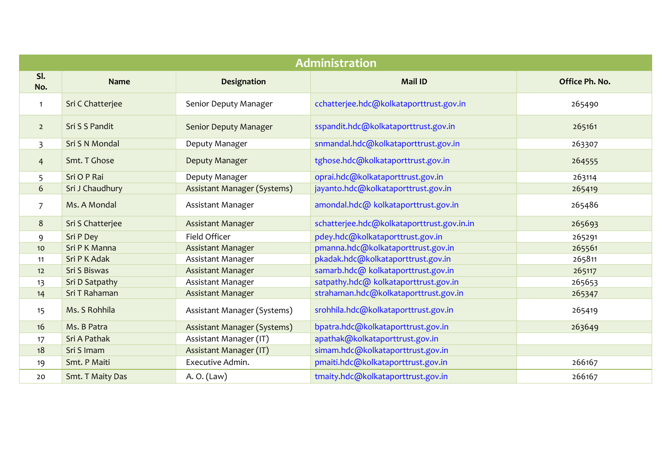| <b>Administration</b> |                  |                               |                                            |                |
|-----------------------|------------------|-------------------------------|--------------------------------------------|----------------|
| SI.<br>No.            | <b>Name</b>      | <b>Designation</b>            | <b>Mail ID</b>                             | Office Ph. No. |
| $\mathbf{1}$          | Sri C Chatterjee | Senior Deputy Manager         | cchatterjee.hdc@kolkataporttrust.gov.in    | 265490         |
| $\overline{2}$        | Sri S S Pandit   | Senior Deputy Manager         | sspandit.hdc@kolkataporttrust.gov.in       | 265161         |
| $\overline{3}$        | Sri S N Mondal   | Deputy Manager                | snmandal.hdc@kolkataporttrust.gov.in       | 263307         |
| $\overline{4}$        | Smt. T Ghose     | Deputy Manager                | tghose.hdc@kolkataporttrust.gov.in         | 264555         |
| 5                     | Sri O P Rai      | Deputy Manager                | oprai.hdc@kolkataporttrust.gov.in          | 263114         |
| $6\phantom{a}$        | Sri J Chaudhury  | Assistant Manager (Systems)   | jayanto.hdc@kolkataporttrust.gov.in        | 265419         |
| $\overline{7}$        | Ms. A Mondal     | Assistant Manager             | amondal.hdc@ kolkataporttrust.gov.in       | 265486         |
| 8                     | Sri S Chatterjee | <b>Assistant Manager</b>      | schatterjee.hdc@kolkataporttrust.gov.in.in | 265693         |
| 9                     | Sri P Dey        | Field Officer                 | pdey.hdc@kolkataporttrust.gov.in           | 265291         |
| 10                    | Sri P K Manna    | <b>Assistant Manager</b>      | pmanna.hdc@kolkataporttrust.gov.in         | 265561         |
| 11                    | Sri P K Adak     | Assistant Manager             | pkadak.hdc@kolkataporttrust.gov.in         | 265811         |
| 12                    | Sri S Biswas     | <b>Assistant Manager</b>      | samarb.hdc@ kolkataporttrust.gov.in        | 265117         |
| 13                    | Sri D Satpathy   | Assistant Manager             | satpathy.hdc@ kolkataporttrust.gov.in      | 265653         |
| 14                    | Sri T Rahaman    | <b>Assistant Manager</b>      | strahaman.hdc@kolkataporttrust.gov.in      | 265347         |
| 15                    | Ms. S Rohhila    | Assistant Manager (Systems)   | srohhila.hdc@kolkataporttrust.gov.in       | 265419         |
| 16                    | Ms. B Patra      | Assistant Manager (Systems)   | bpatra.hdc@kolkataporttrust.gov.in         | 263649         |
| 17                    | Sri A Pathak     | Assistant Manager (IT)        | apathak@kolkataporttrust.gov.in            |                |
| 18                    | Sri S Imam       | <b>Assistant Manager (IT)</b> | simam.hdc@kolkataporttrust.gov.in          |                |
| 19                    | Smt. P Maiti     | Executive Admin.              | pmaiti.hdc@kolkataporttrust.gov.in         | 266167         |
| 20                    | Smt. T Maity Das | A. O. (Law)                   | tmaity.hdc@kolkataporttrust.gov.in         | 266167         |